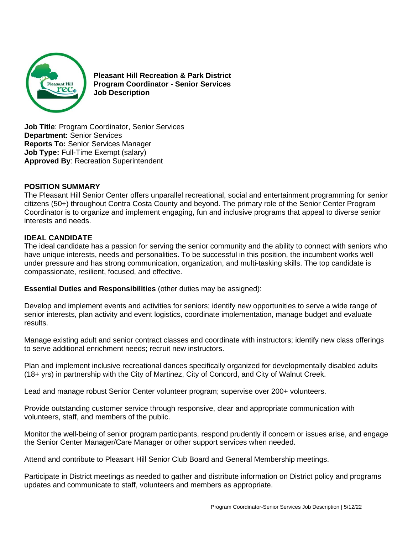

**Pleasant Hill Recreation & Park District Program Coordinator - Senior Services Job Description**

**Job Title**: Program Coordinator, Senior Services **Department:** Senior Services **Reports To:** Senior Services Manager **Job Type:** Full-Time Exempt (salary) **Approved By**: Recreation Superintendent

# **POSITION SUMMARY**

The Pleasant Hill Senior Center offers unparallel recreational, social and entertainment programming for senior citizens (50+) throughout Contra Costa County and beyond. The primary role of the Senior Center Program Coordinator is to organize and implement engaging, fun and inclusive programs that appeal to diverse senior interests and needs.

# **IDEAL CANDIDATE**

The ideal candidate has a passion for serving the senior community and the ability to connect with seniors who have unique interests, needs and personalities. To be successful in this position, the incumbent works well under pressure and has strong communication, organization, and multi-tasking skills. The top candidate is compassionate, resilient, focused, and effective.

**Essential Duties and Responsibilities** (other duties may be assigned):

Develop and implement events and activities for seniors; identify new opportunities to serve a wide range of senior interests, plan activity and event logistics, coordinate implementation, manage budget and evaluate results.

Manage existing adult and senior contract classes and coordinate with instructors; identify new class offerings to serve additional enrichment needs; recruit new instructors.

Plan and implement inclusive recreational dances specifically organized for developmentally disabled adults (18+ yrs) in partnership with the City of Martinez, City of Concord, and City of Walnut Creek.

Lead and manage robust Senior Center volunteer program; supervise over 200+ volunteers.

Provide outstanding customer service through responsive, clear and appropriate communication with volunteers, staff, and members of the public.

Monitor the well-being of senior program participants, respond prudently if concern or issues arise, and engage the Senior Center Manager/Care Manager or other support services when needed.

Attend and contribute to Pleasant Hill Senior Club Board and General Membership meetings.

Participate in District meetings as needed to gather and distribute information on District policy and programs updates and communicate to staff, volunteers and members as appropriate.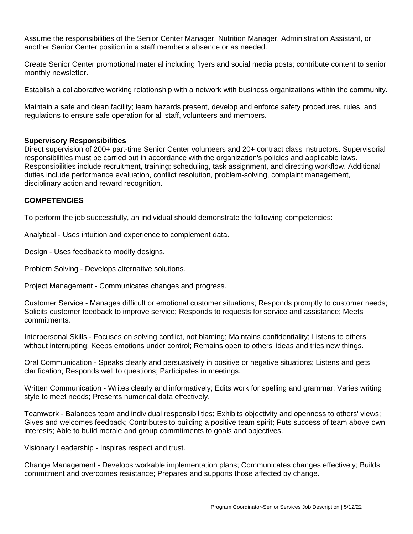Assume the responsibilities of the Senior Center Manager, Nutrition Manager, Administration Assistant, or another Senior Center position in a staff member's absence or as needed.

Create Senior Center promotional material including flyers and social media posts; contribute content to senior monthly newsletter.

Establish a collaborative working relationship with a network with business organizations within the community.

Maintain a safe and clean facility; learn hazards present, develop and enforce safety procedures, rules, and regulations to ensure safe operation for all staff, volunteers and members.

#### **Supervisory Responsibilities**

Direct supervision of 200+ part-time Senior Center volunteers and 20+ contract class instructors. Supervisorial responsibilities must be carried out in accordance with the organization's policies and applicable laws. Responsibilities include recruitment, training; scheduling, task assignment, and directing workflow. Additional duties include performance evaluation, conflict resolution, problem-solving, complaint management, disciplinary action and reward recognition.

# **COMPETENCIES**

To perform the job successfully, an individual should demonstrate the following competencies:

Analytical - Uses intuition and experience to complement data.

Design - Uses feedback to modify designs.

Problem Solving - Develops alternative solutions.

Project Management - Communicates changes and progress.

Customer Service - Manages difficult or emotional customer situations; Responds promptly to customer needs; Solicits customer feedback to improve service; Responds to requests for service and assistance; Meets commitments.

Interpersonal Skills - Focuses on solving conflict, not blaming; Maintains confidentiality; Listens to others without interrupting; Keeps emotions under control; Remains open to others' ideas and tries new things.

Oral Communication - Speaks clearly and persuasively in positive or negative situations; Listens and gets clarification; Responds well to questions; Participates in meetings.

Written Communication - Writes clearly and informatively; Edits work for spelling and grammar; Varies writing style to meet needs; Presents numerical data effectively.

Teamwork - Balances team and individual responsibilities; Exhibits objectivity and openness to others' views; Gives and welcomes feedback; Contributes to building a positive team spirit; Puts success of team above own interests; Able to build morale and group commitments to goals and objectives.

Visionary Leadership - Inspires respect and trust.

Change Management - Develops workable implementation plans; Communicates changes effectively; Builds commitment and overcomes resistance; Prepares and supports those affected by change.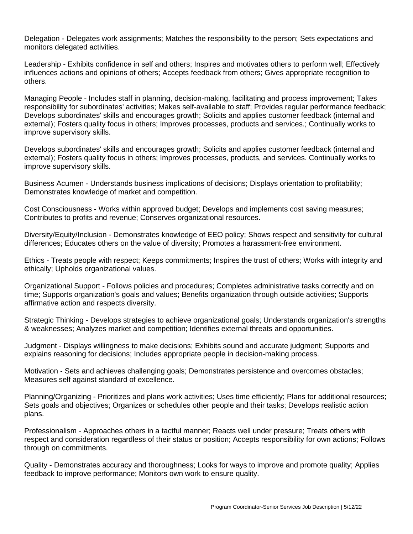Delegation - Delegates work assignments; Matches the responsibility to the person; Sets expectations and monitors delegated activities.

Leadership - Exhibits confidence in self and others; Inspires and motivates others to perform well; Effectively influences actions and opinions of others; Accepts feedback from others; Gives appropriate recognition to others.

Managing People - Includes staff in planning, decision-making, facilitating and process improvement; Takes responsibility for subordinates' activities; Makes self-available to staff; Provides regular performance feedback; Develops subordinates' skills and encourages growth; Solicits and applies customer feedback (internal and external); Fosters quality focus in others; Improves processes, products and services.; Continually works to improve supervisory skills.

Develops subordinates' skills and encourages growth; Solicits and applies customer feedback (internal and external); Fosters quality focus in others; Improves processes, products, and services. Continually works to improve supervisory skills.

Business Acumen - Understands business implications of decisions; Displays orientation to profitability; Demonstrates knowledge of market and competition.

Cost Consciousness - Works within approved budget; Develops and implements cost saving measures; Contributes to profits and revenue; Conserves organizational resources.

Diversity/Equity/Inclusion - Demonstrates knowledge of EEO policy; Shows respect and sensitivity for cultural differences; Educates others on the value of diversity; Promotes a harassment-free environment.

Ethics - Treats people with respect; Keeps commitments; Inspires the trust of others; Works with integrity and ethically; Upholds organizational values.

Organizational Support - Follows policies and procedures; Completes administrative tasks correctly and on time; Supports organization's goals and values; Benefits organization through outside activities; Supports affirmative action and respects diversity.

Strategic Thinking - Develops strategies to achieve organizational goals; Understands organization's strengths & weaknesses; Analyzes market and competition; Identifies external threats and opportunities.

Judgment - Displays willingness to make decisions; Exhibits sound and accurate judgment; Supports and explains reasoning for decisions; Includes appropriate people in decision-making process.

Motivation - Sets and achieves challenging goals; Demonstrates persistence and overcomes obstacles; Measures self against standard of excellence.

Planning/Organizing - Prioritizes and plans work activities; Uses time efficiently; Plans for additional resources; Sets goals and objectives; Organizes or schedules other people and their tasks; Develops realistic action plans.

Professionalism - Approaches others in a tactful manner; Reacts well under pressure; Treats others with respect and consideration regardless of their status or position; Accepts responsibility for own actions; Follows through on commitments.

Quality - Demonstrates accuracy and thoroughness; Looks for ways to improve and promote quality; Applies feedback to improve performance; Monitors own work to ensure quality.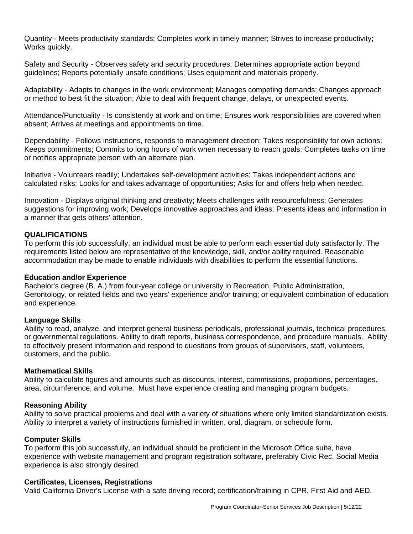Quantity - Meets productivity standards; Completes work in timely manner; Strives to increase productivity; Works quickly.

Safety and Security - Observes safety and security procedures; Determines appropriate action beyond guidelines; Reports potentially unsafe conditions; Uses equipment and materials properly.

Adaptability - Adapts to changes in the work environment; Manages competing demands; Changes approach or method to best fit the situation; Able to deal with frequent change, delays, or unexpected events.

Attendance/Punctuality - Is consistently at work and on time; Ensures work responsibilities are covered when absent; Arrives at meetings and appointments on time.

Dependability - Follows instructions, responds to management direction; Takes responsibility for own actions; Keeps commitments; Commits to long hours of work when necessary to reach goals; Completes tasks on time or notifies appropriate person with an alternate plan.

Initiative - Volunteers readily; Undertakes self-development activities; Takes independent actions and calculated risks; Looks for and takes advantage of opportunities; Asks for and offers help when needed.

Innovation - Displays original thinking and creativity; Meets challenges with resourcefulness; Generates suggestions for improving work; Develops innovative approaches and ideas; Presents ideas and information in a manner that gets others' attention.

# **QUALIFICATIONS**

To perform this job successfully, an individual must be able to perform each essential duty satisfactorily. The requirements listed below are representative of the knowledge, skill, and/or ability required. Reasonable accommodation may be made to enable individuals with disabilities to perform the essential functions.

#### **Education and/or Experience**

Bachelor's degree (B. A.) from four-year college or university in Recreation, Public Administration, Gerontology, or related fields and two years' experience and/or training; or equivalent combination of education and experience.

#### **Language Skills**

Ability to read, analyze, and interpret general business periodicals, professional journals, technical procedures, or governmental regulations. Ability to draft reports, business correspondence, and procedure manuals. Ability to effectively present information and respond to questions from groups of supervisors, staff, volunteers, customers, and the public.

#### **Mathematical Skills**

Ability to calculate figures and amounts such as discounts, interest, commissions, proportions, percentages, area, circumference, and volume. Must have experience creating and managing program budgets.

#### **Reasoning Ability**

Ability to solve practical problems and deal with a variety of situations where only limited standardization exists. Ability to interpret a variety of instructions furnished in written, oral, diagram, or schedule form.

#### **Computer Skills**

To perform this job successfully, an individual should be proficient in the Microsoft Office suite, have experience with website management and program registration software, preferably Civic Rec. Social Media experience is also strongly desired.

#### **Certificates, Licenses, Registrations**

Valid California Driver's License with a safe driving record; certification/training in CPR, First Aid and AED.